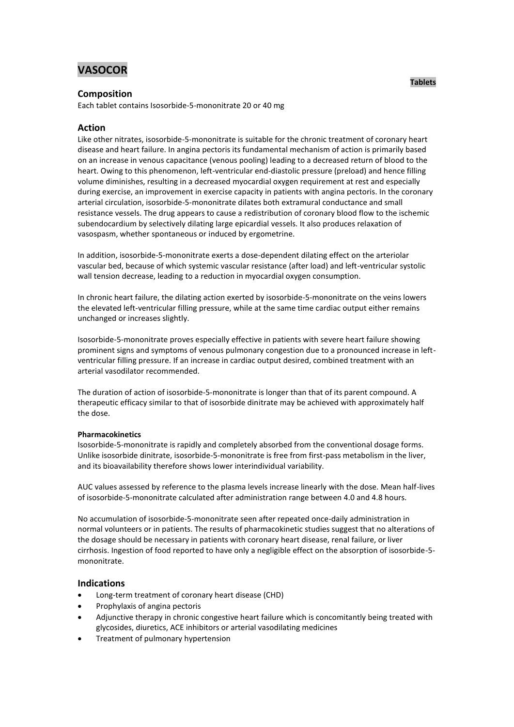# **VASOCOR**

# **Composition**

Each tablet contains Isosorbide-5-mononitrate 20 or 40 mg

# **Action**

Like other nitrates, isosorbide-5-mononitrate is suitable for the chronic treatment of coronary heart disease and heart failure. In angina pectoris its fundamental mechanism of action is primarily based on an increase in venous capacitance (venous pooling) leading to a decreased return of blood to the heart. Owing to this phenomenon, left-ventricular end-diastolic pressure (preload) and hence filling volume diminishes, resulting in a decreased myocardial oxygen requirement at rest and especially during exercise, an improvement in exercise capacity in patients with angina pectoris. In the coronary arterial circulation, isosorbide-5-mononitrate dilates both extramural conductance and small resistance vessels. The drug appears to cause a redistribution of coronary blood flow to the ischemic subendocardium by selectively dilating large epicardial vessels. It also produces relaxation of vasospasm, whether spontaneous or induced by ergometrine.

In addition, isosorbide-5-mononitrate exerts a dose-dependent dilating effect on the arteriolar vascular bed, because of which systemic vascular resistance (after load) and left-ventricular systolic wall tension decrease, leading to a reduction in myocardial oxygen consumption.

In chronic heart failure, the dilating action exerted by isosorbide-5-mononitrate on the veins lowers the elevated left-ventricular filling pressure, while at the same time cardiac output either remains unchanged or increases slightly.

Isosorbide-5-mononitrate proves especially effective in patients with severe heart failure showing prominent signs and symptoms of venous pulmonary congestion due to a pronounced increase in leftventricular filling pressure. If an increase in cardiac output desired, combined treatment with an arterial vasodilator recommended.

The duration of action of isosorbide-5-mononitrate is longer than that of its parent compound. A therapeutic efficacy similar to that of isosorbide dinitrate may be achieved with approximately half the dose.

## **Pharmacokinetics**

Isosorbide-5-mononitrate is rapidly and completely absorbed from the conventional dosage forms. Unlike isosorbide dinitrate, isosorbide-5-mononitrate is free from first-pass metabolism in the liver, and its bioavailability therefore shows lower interindividual variability.

AUC values assessed by reference to the plasma levels increase linearly with the dose. Mean half-lives of isosorbide-5-mononitrate calculated after administration range between 4.0 and 4.8 hours.

No accumulation of isosorbide-5-mononitrate seen after repeated once-daily administration in normal volunteers or in patients. The results of pharmacokinetic studies suggest that no alterations of the dosage should be necessary in patients with coronary heart disease, renal failure, or liver cirrhosis. Ingestion of food reported to have only a negligible effect on the absorption of isosorbide-5 mononitrate.

## **Indications**

- Long-term treatment of coronary heart disease (CHD)
- Prophylaxis of angina pectoris
- Adjunctive therapy in chronic congestive heart failure which is concomitantly being treated with glycosides, diuretics, ACE inhibitors or arterial vasodilating medicines
- Treatment of pulmonary hypertension

#### **Tablets**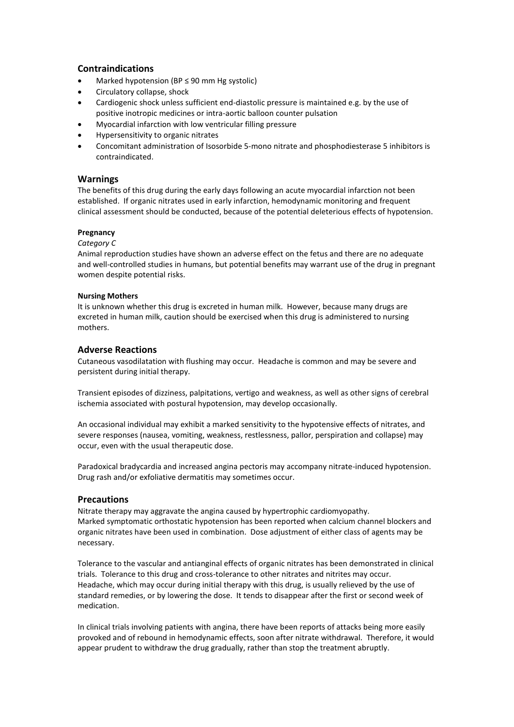# **Contraindications**

- Marked hypotension (BP ≤ 90 mm Hg systolic)
- Circulatory collapse, shock
- Cardiogenic shock unless sufficient end-diastolic pressure is maintained e.g. by the use of positive inotropic medicines or intra-aortic balloon counter pulsation
- Myocardial infarction with low ventricular filling pressure
- Hypersensitivity to organic nitrates
- Concomitant administration of Isosorbide 5-mono nitrate and phosphodiesterase 5 inhibitors is contraindicated.

# **Warnings**

The benefits of this drug during the early days following an acute myocardial infarction not been established. If organic nitrates used in early infarction, hemodynamic monitoring and frequent clinical assessment should be conducted, because of the potential deleterious effects of hypotension.

## **Pregnancy**

## *Category C*

Animal reproduction studies have shown an adverse effect on the fetus and there are no adequate and well-controlled studies in humans, but potential benefits may warrant use of the drug in pregnant women despite potential risks.

## **Nursing Mothers**

It is unknown whether this drug is excreted in human milk. However, because many drugs are excreted in human milk, caution should be exercised when this drug is administered to nursing mothers.

# **Adverse Reactions**

Cutaneous vasodilatation with flushing may occur. Headache is common and may be severe and persistent during initial therapy.

Transient episodes of dizziness, palpitations, vertigo and weakness, as well as other signs of cerebral ischemia associated with postural hypotension, may develop occasionally.

An occasional individual may exhibit a marked sensitivity to the hypotensive effects of nitrates, and severe responses (nausea, vomiting, weakness, restlessness, pallor, perspiration and collapse) may occur, even with the usual therapeutic dose.

Paradoxical bradycardia and increased angina pectoris may accompany nitrate-induced hypotension. Drug rash and/or exfoliative dermatitis may sometimes occur.

## **Precautions**

Nitrate therapy may aggravate the angina caused by hypertrophic cardiomyopathy. Marked symptomatic orthostatic hypotension has been reported when calcium channel blockers and organic nitrates have been used in combination. Dose adjustment of either class of agents may be necessary.

Tolerance to the vascular and antianginal effects of organic nitrates has been demonstrated in clinical trials. Tolerance to this drug and cross-tolerance to other nitrates and nitrites may occur. Headache, which may occur during initial therapy with this drug, is usually relieved by the use of standard remedies, or by lowering the dose. It tends to disappear after the first or second week of medication.

In clinical trials involving patients with angina, there have been reports of attacks being more easily provoked and of rebound in hemodynamic effects, soon after nitrate withdrawal. Therefore, it would appear prudent to withdraw the drug gradually, rather than stop the treatment abruptly.